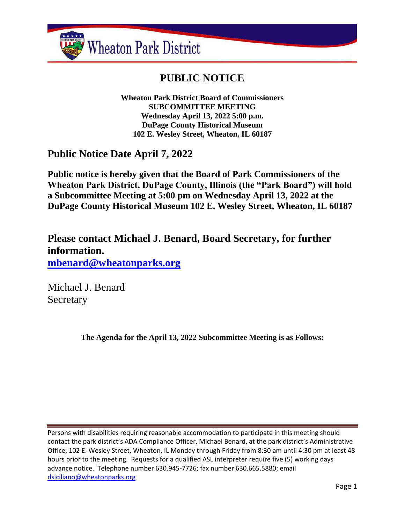

# **PUBLIC NOTICE**

**Wheaton Park District Board of Commissioners SUBCOMMITTEE MEETING Wednesday April 13, 2022 5:00 p.m. DuPage County Historical Museum 102 E. Wesley Street, Wheaton, IL 60187**

## **Public Notice Date April 7, 2022**

**Public notice is hereby given that the Board of Park Commissioners of the Wheaton Park District, DuPage County, Illinois (the "Park Board") will hold a Subcommittee Meeting at 5:00 pm on Wednesday April 13, 2022 at the DuPage County Historical Museum 102 E. Wesley Street, Wheaton, IL 60187**

**Please contact Michael J. Benard, Board Secretary, for further information. [mbenard@wheatonparks.org](mailto:mbenard@wheatonparks.org)**

Michael J. Benard Secretary

**The Agenda for the April 13, 2022 Subcommittee Meeting is as Follows:**

Persons with disabilities requiring reasonable accommodation to participate in this meeting should contact the park district's ADA Compliance Officer, Michael Benard, at the park district's Administrative Office, 102 E. Wesley Street, Wheaton, IL Monday through Friday from 8:30 am until 4:30 pm at least 48 hours prior to the meeting. Requests for a qualified ASL interpreter require five (5) working days advance notice. Telephone number 630.945-7726; fax number 630.665.5880; email [dsiciliano@wheatonparks.org](mailto:dsiciliano@wheatonparks.org)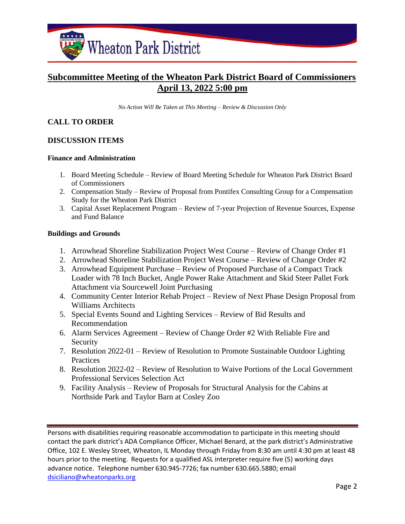

### **Subcommittee Meeting of the Wheaton Park District Board of Commissioners April 13, 2022 5:00 pm**

*No Action Will Be Taken at This Meeting – Review & Discussion Only*

#### **CALL TO ORDER**

#### **DISCUSSION ITEMS**

#### **Finance and Administration**

- 1. Board Meeting Schedule Review of Board Meeting Schedule for Wheaton Park District Board of Commissioners
- 2. Compensation Study Review of Proposal from Pontifex Consulting Group for a Compensation Study for the Wheaton Park District
- 3. Capital Asset Replacement Program Review of 7-year Projection of Revenue Sources, Expense and Fund Balance

#### **Buildings and Grounds**

- 1. Arrowhead Shoreline Stabilization Project West Course Review of Change Order #1
- 2. Arrowhead Shoreline Stabilization Project West Course Review of Change Order #2
- 3. Arrowhead Equipment Purchase Review of Proposed Purchase of a Compact Track Loader with 78 Inch Bucket, Angle Power Rake Attachment and Skid Steer Pallet Fork Attachment via Sourcewell Joint Purchasing
- 4. Community Center Interior Rehab Project Review of Next Phase Design Proposal from Williams Architects
- 5. Special Events Sound and Lighting Services Review of Bid Results and Recommendation
- 6. Alarm Services Agreement Review of Change Order #2 With Reliable Fire and Security
- 7. Resolution 2022-01 Review of Resolution to Promote Sustainable Outdoor Lighting **Practices**
- 8. Resolution 2022-02 Review of Resolution to Waive Portions of the Local Government Professional Services Selection Act
- 9. Facility Analysis Review of Proposals for Structural Analysis for the Cabins at Northside Park and Taylor Barn at Cosley Zoo

Persons with disabilities requiring reasonable accommodation to participate in this meeting should contact the park district's ADA Compliance Officer, Michael Benard, at the park district's Administrative Office, 102 E. Wesley Street, Wheaton, IL Monday through Friday from 8:30 am until 4:30 pm at least 48 hours prior to the meeting. Requests for a qualified ASL interpreter require five (5) working days advance notice. Telephone number 630.945-7726; fax number 630.665.5880; email [dsiciliano@wheatonparks.org](mailto:dsiciliano@wheatonparks.org)